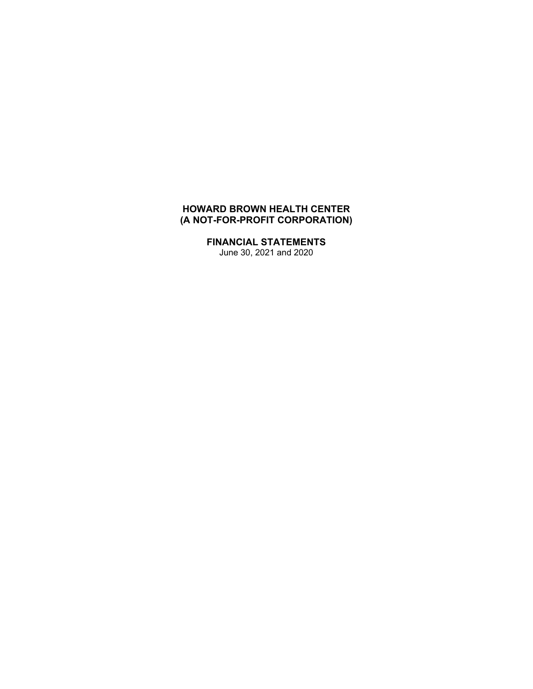# **HOWARD BROWN HEALTH CENTER (A NOT-FOR-PROFIT CORPORATION)**

**FINANCIAL STATEMENTS**  June 30, 2021 and 2020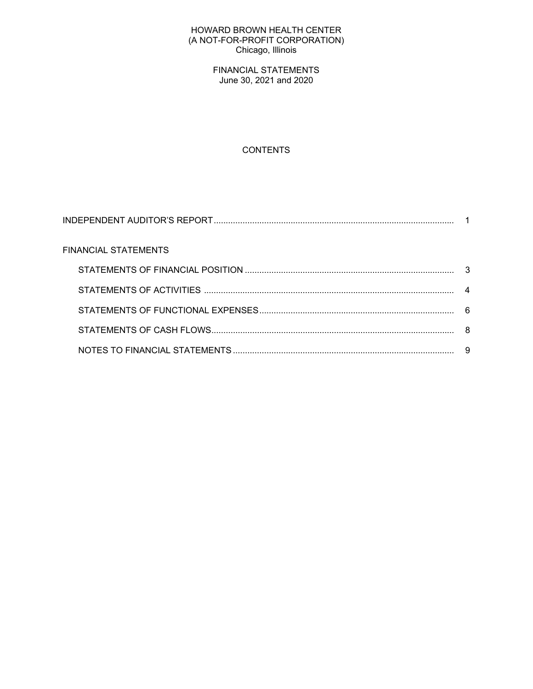### HOWARD BROWN HEALTH CENTER (A NOT-FOR-PROFIT CORPORATION) Chicago, Illinois

FINANCIAL STATEMENTS June 30, 2021 and 2020

# **CONTENTS**

| FINANCIAL STATEMENTS |    |
|----------------------|----|
|                      | -3 |
|                      |    |
|                      |    |
|                      |    |
|                      | 9  |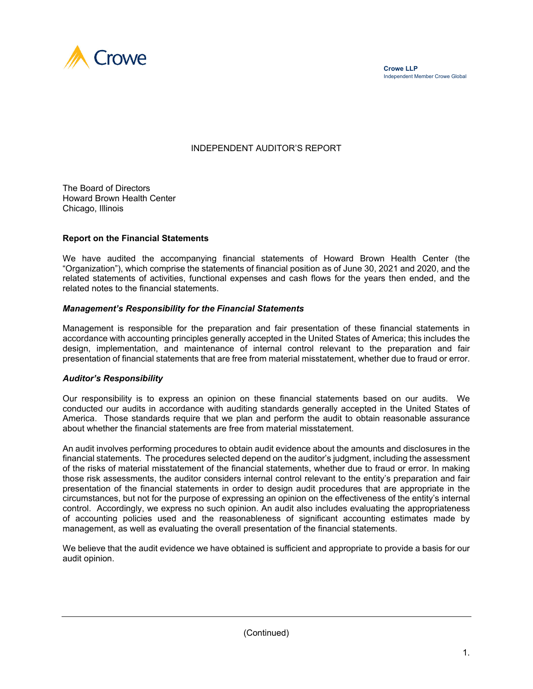

## INDEPENDENT AUDITOR'S REPORT

The Board of Directors Howard Brown Health Center Chicago, Illinois

#### **Report on the Financial Statements**

We have audited the accompanying financial statements of Howard Brown Health Center (the "Organization"), which comprise the statements of financial position as of June 30, 2021 and 2020, and the related statements of activities, functional expenses and cash flows for the years then ended, and the related notes to the financial statements.

#### *Management's Responsibility for the Financial Statements*

Management is responsible for the preparation and fair presentation of these financial statements in accordance with accounting principles generally accepted in the United States of America; this includes the design, implementation, and maintenance of internal control relevant to the preparation and fair presentation of financial statements that are free from material misstatement, whether due to fraud or error.

#### *Auditor's Responsibility*

Our responsibility is to express an opinion on these financial statements based on our audits. We conducted our audits in accordance with auditing standards generally accepted in the United States of America. Those standards require that we plan and perform the audit to obtain reasonable assurance about whether the financial statements are free from material misstatement.

An audit involves performing procedures to obtain audit evidence about the amounts and disclosures in the financial statements. The procedures selected depend on the auditor's judgment, including the assessment of the risks of material misstatement of the financial statements, whether due to fraud or error. In making those risk assessments, the auditor considers internal control relevant to the entity's preparation and fair presentation of the financial statements in order to design audit procedures that are appropriate in the circumstances, but not for the purpose of expressing an opinion on the effectiveness of the entity's internal control. Accordingly, we express no such opinion. An audit also includes evaluating the appropriateness of accounting policies used and the reasonableness of significant accounting estimates made by management, as well as evaluating the overall presentation of the financial statements.

We believe that the audit evidence we have obtained is sufficient and appropriate to provide a basis for our audit opinion.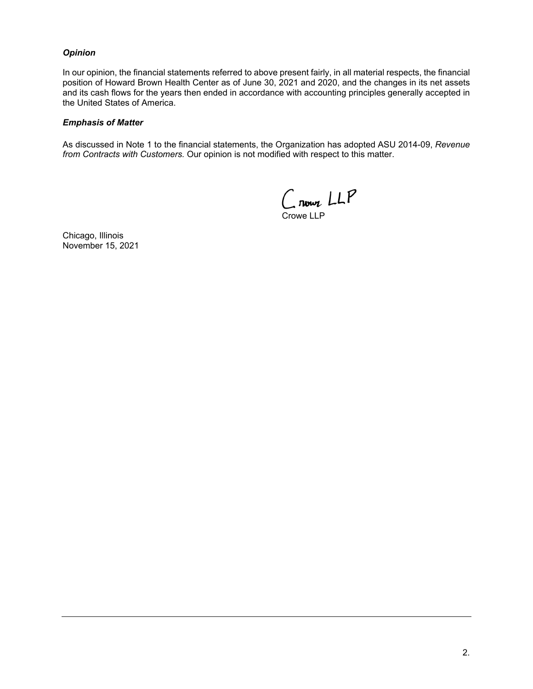## *Opinion*

In our opinion, the financial statements referred to above present fairly, in all material respects, the financial position of Howard Brown Health Center as of June 30, 2021 and 2020, and the changes in its net assets and its cash flows for the years then ended in accordance with accounting principles generally accepted in the United States of America.

### *Emphasis of Matter*

As discussed in Note 1 to the financial statements, the Organization has adopted ASU 2014-09, *Revenue from Contracts with Customers.* Our opinion is not modified with respect to this matter.

Crown LLP Crowe LLP

Chicago, Illinois November 15, 2021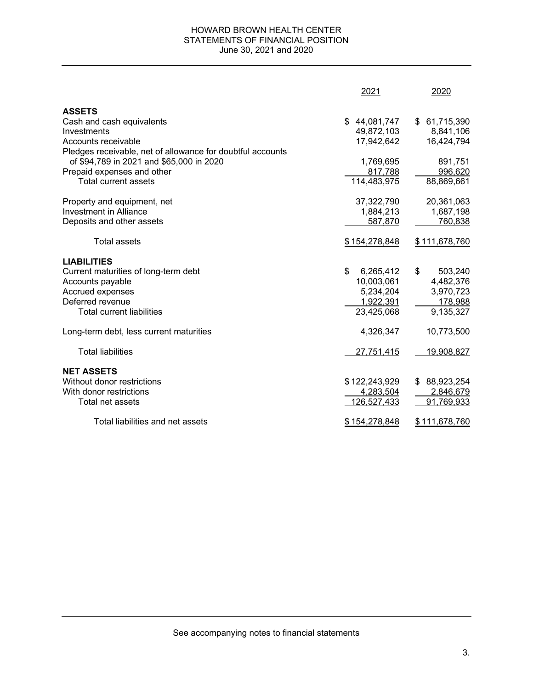### HOWARD BROWN HEALTH CENTER STATEMENTS OF FINANCIAL POSITION June 30, 2021 and 2020

|                                                            | 2021            | 2020             |
|------------------------------------------------------------|-----------------|------------------|
| <b>ASSETS</b>                                              |                 |                  |
| Cash and cash equivalents                                  | \$44,081,747    | \$61,715,390     |
| Investments                                                | 49,872,103      | 8,841,106        |
| Accounts receivable                                        | 17,942,642      | 16,424,794       |
| Pledges receivable, net of allowance for doubtful accounts |                 |                  |
| of \$94,789 in 2021 and \$65,000 in 2020                   | 1,769,695       | 891,751          |
| Prepaid expenses and other                                 | 817,788         | 996,620          |
| <b>Total current assets</b>                                | 114,483,975     | 88,869,661       |
| Property and equipment, net                                | 37,322,790      | 20,361,063       |
| <b>Investment in Alliance</b>                              | 1,884,213       | 1,687,198        |
| Deposits and other assets                                  | 587,870         | 760,838          |
| Total assets                                               | \$154,278,848   | \$111,678,760    |
| <b>LIABILITIES</b>                                         |                 |                  |
| Current maturities of long-term debt                       | \$<br>6,265,412 | \$<br>503,240    |
| Accounts payable                                           | 10,003,061      | 4,482,376        |
| Accrued expenses                                           | 5,234,204       | 3,970,723        |
| Deferred revenue                                           | 1,922,391       | 178,988          |
| <b>Total current liabilities</b>                           | 23,425,068      | 9,135,327        |
| Long-term debt, less current maturities                    | 4,326,347       | 10,773,500       |
| <b>Total liabilities</b>                                   | 27,751,415      | 19,908,827       |
|                                                            |                 |                  |
| <b>NET ASSETS</b>                                          |                 |                  |
| Without donor restrictions                                 | \$122,243,929   | 88,923,254<br>\$ |
| With donor restrictions                                    | 4,283,504       | 2,846,679        |
| Total net assets                                           | 126,527,433     | 91,769,933       |
| Total liabilities and net assets                           | \$154,278,848   | \$111,678,760    |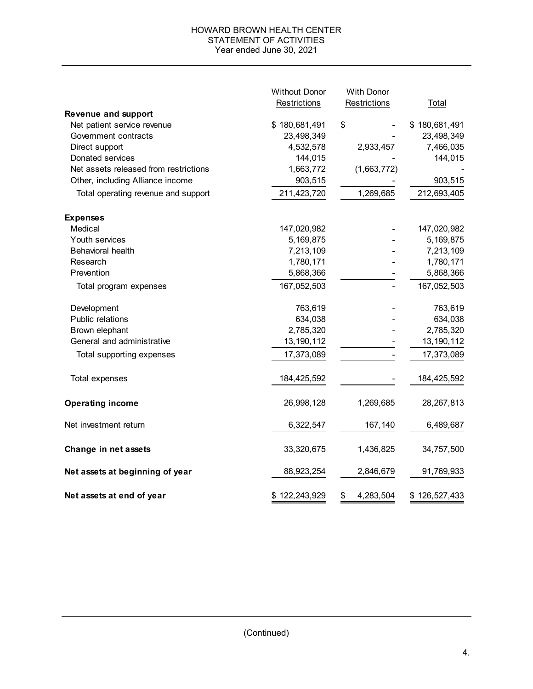## HOWARD BROWN HEALTH CENTER STATEMENT OF ACTIVITIES Year ended June 30, 2021

|                                       | <b>Without Donor</b> | <b>With Donor</b> |               |  |
|---------------------------------------|----------------------|-------------------|---------------|--|
|                                       | Restrictions         | Restrictions      | Total         |  |
| <b>Revenue and support</b>            |                      |                   |               |  |
| Net patient service revenue           | \$180,681,491        | \$                | \$180,681,491 |  |
| Government contracts                  | 23,498,349           |                   | 23,498,349    |  |
| Direct support                        | 4,532,578            | 2,933,457         | 7,466,035     |  |
| Donated services                      | 144,015              |                   | 144,015       |  |
| Net assets released from restrictions | 1,663,772            | (1,663,772)       |               |  |
| Other, including Alliance income      | 903,515              |                   | 903,515       |  |
| Total operating revenue and support   | 211,423,720          | 1,269,685         | 212,693,405   |  |
| <b>Expenses</b>                       |                      |                   |               |  |
| Medical                               | 147,020,982          |                   | 147,020,982   |  |
| Youth services                        | 5,169,875            |                   | 5,169,875     |  |
| <b>Behavioral health</b>              | 7,213,109            |                   | 7,213,109     |  |
| Research                              | 1,780,171            |                   | 1,780,171     |  |
| Prevention                            | 5,868,366            |                   | 5,868,366     |  |
| Total program expenses                | 167,052,503          |                   | 167,052,503   |  |
| Development                           | 763,619              |                   | 763,619       |  |
| Public relations                      | 634,038              |                   | 634,038       |  |
| Brown elephant                        | 2,785,320            |                   | 2,785,320     |  |
| General and administrative            | 13,190,112           |                   | 13,190,112    |  |
| Total supporting expenses             | 17,373,089           |                   | 17,373,089    |  |
| Total expenses                        | 184,425,592          |                   | 184,425,592   |  |
| <b>Operating income</b>               | 26,998,128           | 1,269,685         | 28,267,813    |  |
| Net investment return                 | 6,322,547            | 167,140           | 6,489,687     |  |
| Change in net assets                  | 33,320,675           | 1,436,825         | 34,757,500    |  |
| Net assets at beginning of year       | 88,923,254           | 2,846,679         | 91,769,933    |  |
| Net assets at end of year             | \$122,243,929        | \$<br>4,283,504   | \$126,527,433 |  |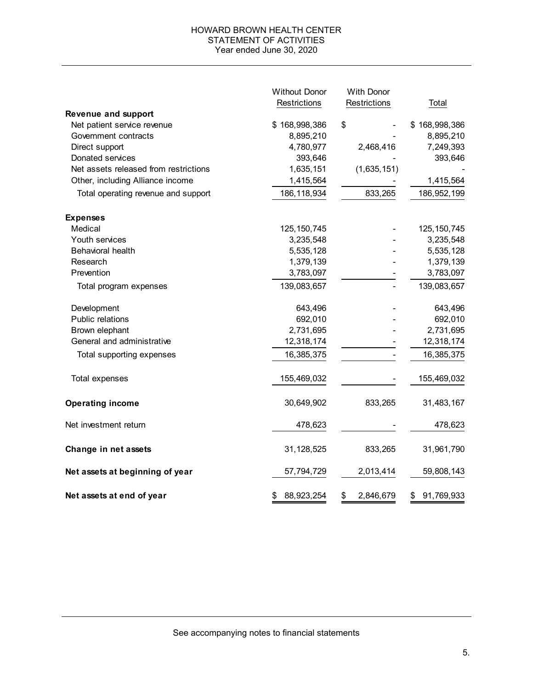### HOWARD BROWN HEALTH CENTER STATEMENT OF ACTIVITIES Year ended June 30, 2020

|                                       | <b>Without Donor</b> | <b>With Donor</b> |                  |  |
|---------------------------------------|----------------------|-------------------|------------------|--|
|                                       | Restrictions         | Restrictions      | Total            |  |
| <b>Revenue and support</b>            |                      |                   |                  |  |
| Net patient service revenue           | \$168,998,386        | \$                | \$168,998,386    |  |
| Government contracts                  | 8,895,210            |                   | 8,895,210        |  |
| Direct support                        | 4,780,977            | 2,468,416         | 7,249,393        |  |
| Donated services                      | 393,646              |                   | 393,646          |  |
| Net assets released from restrictions | 1,635,151            | (1,635,151)       |                  |  |
| Other, including Alliance income      | 1,415,564            |                   | 1,415,564        |  |
| Total operating revenue and support   | 186, 118, 934        | 833,265           | 186,952,199      |  |
| <b>Expenses</b>                       |                      |                   |                  |  |
| Medical                               | 125, 150, 745        |                   | 125, 150, 745    |  |
| Youth services                        | 3,235,548            |                   | 3,235,548        |  |
| <b>Behavioral health</b>              | 5,535,128            |                   | 5,535,128        |  |
| Research                              | 1,379,139            |                   | 1,379,139        |  |
| Prevention                            | 3,783,097            |                   | 3,783,097        |  |
| Total program expenses                | 139,083,657          |                   | 139,083,657      |  |
| Development                           | 643,496              |                   | 643,496          |  |
| Public relations                      | 692,010              |                   | 692,010          |  |
| Brown elephant                        | 2,731,695            |                   | 2,731,695        |  |
| General and administrative            | 12,318,174           |                   | 12,318,174       |  |
| Total supporting expenses             | 16,385,375           |                   | 16,385,375       |  |
| Total expenses                        | 155,469,032          |                   | 155,469,032      |  |
| <b>Operating income</b>               | 30,649,902           | 833,265           | 31,483,167       |  |
| Net investment return                 | 478,623              |                   | 478,623          |  |
| Change in net assets                  | 31,128,525           | 833,265           | 31,961,790       |  |
| Net assets at beginning of year       | 57,794,729           | 2,013,414         | 59,808,143       |  |
| Net assets at end of year             | 88,923,254<br>\$     | \$<br>2,846,679   | 91,769,933<br>\$ |  |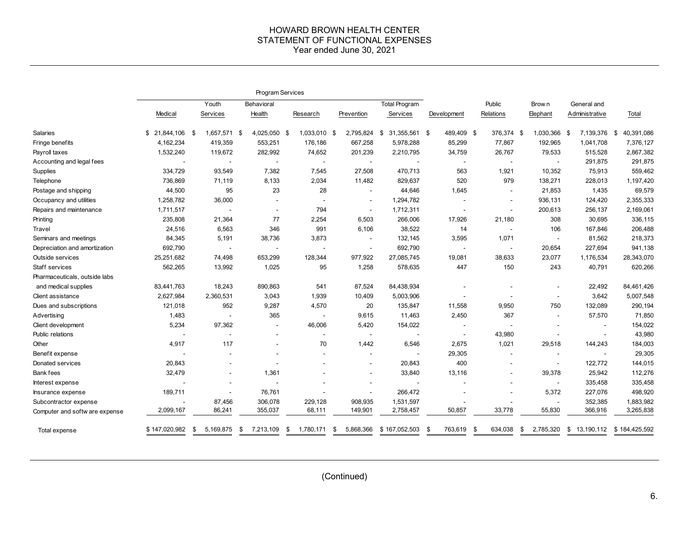#### HOWARD BROWN HEALTH CENTER STATEMENT OF FUNCTIONAL EXPENSES Year ended June 30, 2021

|                                |                     | Program Services    |                          |                          |                          |                          |                       |               |                          |                          |                    |
|--------------------------------|---------------------|---------------------|--------------------------|--------------------------|--------------------------|--------------------------|-----------------------|---------------|--------------------------|--------------------------|--------------------|
|                                | Youth<br>Behavioral |                     |                          | Total Program            |                          | Public                   | Brow n<br>General and |               |                          |                          |                    |
|                                | Medical             | Services            | Health                   | Research                 | Prevention               | Services                 | Development           | Relations     | Elephant                 | Administrative           | Total              |
| Salaries                       | 21,844,106          | 1,657,571 \$<br>-\$ | 4,025,050 \$             | 1,033,010 \$             | 2,795,824                | \$<br>31,355,561         | 489,409 \$<br>- \$    | 376,374 \$    | 1,030,366                | 7,139,376<br>- \$        | 40,391,086<br>- \$ |
| Fringe benefits                | 4,162,234           | 419,359             | 553,251                  | 176,186                  | 667,258                  | 5,978,288                | 85,299                | 77,867        | 192,965                  | 1,041,708                | 7,376,127          |
| Payroll taxes                  | 1,532,240           | 119,672             | 282,992                  | 74,652                   | 201,239                  | 2,210,795                | 34,759                | 26,767        | 79,533                   | 515,528                  | 2,867,382          |
| Accounting and legal fees      |                     |                     | $\blacksquare$           | $\overline{\phantom{a}}$ | $\blacksquare$           |                          | $\blacksquare$        |               | $\overline{\phantom{a}}$ | 291,875                  | 291,875            |
| Supplies                       | 334,729             | 93,549              | 7,382                    | 7,545                    | 27,508                   | 470,713                  | 563                   | 1,921         | 10,352                   | 75,913                   | 559,462            |
| Telephone                      | 736,869             | 71,119              | 8,133                    | 2,034                    | 11,482                   | 829,637                  | 520                   | 979           | 138,271                  | 228,013                  | 1,197,420          |
| Postage and shipping           | 44,500              | 95                  | 23                       | 28                       | $\overline{\phantom{a}}$ | 44,646                   | 1,645                 | $\sim$        | 21,853                   | 1,435                    | 69,579             |
| Occupancy and utilities        | 1,258,782           | 36,000              | $\overline{\phantom{a}}$ |                          | $\overline{\phantom{a}}$ | 1,294,782                |                       |               | 936,131                  | 124,420                  | 2,355,333          |
| Repairs and maintenance        | 1,711,517           |                     | $\blacksquare$           | 794                      | $\blacksquare$           | 1,712,311                |                       |               | 200,613                  | 256,137                  | 2,169,061          |
| Printing                       | 235,808             | 21,364              | 77                       | 2,254                    | 6,503                    | 266,006                  | 17,926                | 21,180        | 308                      | 30,695                   | 336,115            |
| Travel                         | 24,516              | 6,563               | 346                      | 991                      | 6,106                    | 38,522                   | 14                    |               | 106                      | 167,846                  | 206,488            |
| Seminars and meetings          | 84,345              | 5,191               | 38,736                   | 3,873                    |                          | 132,145                  | 3,595                 | 1,071         | $\overline{\phantom{a}}$ | 81,562                   | 218,373            |
| Depreciation and amortization  | 692,790             |                     | $\overline{\phantom{a}}$ |                          |                          | 692,790                  |                       |               | 20,654                   | 227,694                  | 941,138            |
| Outside services               | 25,251,682          | 74,498              | 653,299                  | 128,344                  | 977,922                  | 27,085,745               | 19,081                | 38,633        | 23,077                   | 1,176,534                | 28,343,070         |
| Staff services                 | 562,265             | 13,992              | 1,025                    | 95                       | 1,258                    | 578,635                  | 447                   | 150           | 243                      | 40,791                   | 620,266            |
| Pharmaceuticals, outside labs  |                     |                     |                          |                          |                          |                          |                       |               |                          |                          |                    |
| and medical supplies           | 83,441,763          | 18,243              | 890,863                  | 541                      | 87,524                   | 84,438,934               |                       |               |                          | 22,492                   | 84,461,426         |
| Client assistance              | 2,627,984           | 2,360,531           | 3,043                    | 1,939                    | 10,409                   | 5,003,906                |                       |               | $\overline{\phantom{a}}$ | 3,642                    | 5,007,548          |
| Dues and subscriptions         | 121,018             | 952                 | 9,287                    | 4,570                    | 20                       | 135,847                  | 11,558                | 9,950         | 750                      | 132,089                  | 290,194            |
| Advertising                    | 1,483               |                     | 365                      |                          | 9,615                    | 11,463                   | 2,450                 | 367           | $\overline{\phantom{a}}$ | 57,570                   | 71,850             |
| Client development             | 5,234               | 97,362              | $\overline{\phantom{a}}$ | 46,006                   | 5,420                    | 154,022                  |                       |               |                          |                          | 154,022            |
| Public relations               |                     |                     | $\blacksquare$           | $\sim$                   | $\blacksquare$           |                          |                       | 43,980        |                          |                          | 43,980             |
| Other                          | 4,917               | 117                 |                          | 70                       | 1,442                    | 6,546                    | 2,675                 | 1,021         | 29,518                   | 144,243                  | 184,003            |
| Benefit expense                |                     |                     | $\overline{\phantom{a}}$ |                          | $\blacksquare$           |                          | 29,305                |               |                          | $\overline{\phantom{a}}$ | 29,305             |
| Donated services               | 20,843              |                     | ÷                        |                          | $\overline{a}$           | 20,843                   | 400                   |               | ÷                        | 122,772                  | 144,015            |
| Bank fees                      | 32,479              |                     | 1,361                    |                          |                          | 33,840                   | 13,116                |               | 39,378                   | 25,942                   | 112,276            |
| Interest expense               |                     |                     | $\overline{\phantom{a}}$ |                          |                          | $\overline{\phantom{a}}$ |                       |               | $\blacksquare$           | 335,458                  | 335,458            |
| Insurance expense              | 189,711             |                     | 76,761                   |                          | $\blacksquare$           | 266,472                  |                       |               | 5,372                    | 227,076                  | 498,920            |
| Subcontractor expense          | $\sim$              | 87,456              | 306,078                  | 229,128                  | 908,935                  | 1,531,597                |                       |               | $\sim$                   | 352,385                  | 1,883,982          |
| Computer and softw are expense | 2,099,167           | 86,241              | 355,037                  | 68,111                   | 149,901                  | 2,758,457                | 50,857                | 33,778        | 55,830                   | 366,916                  | 3,265,838          |
| Total expense                  | \$147,020,982       | 5,169,875<br>\$     | 7,213,109<br>S           | 1,780,171<br>\$          | 5,868,366<br>S           | \$167,052,503            | 763,619<br>- \$       | \$<br>634,038 | 2,785,320<br>S           | \$<br>13,190,112         | \$184,425,592      |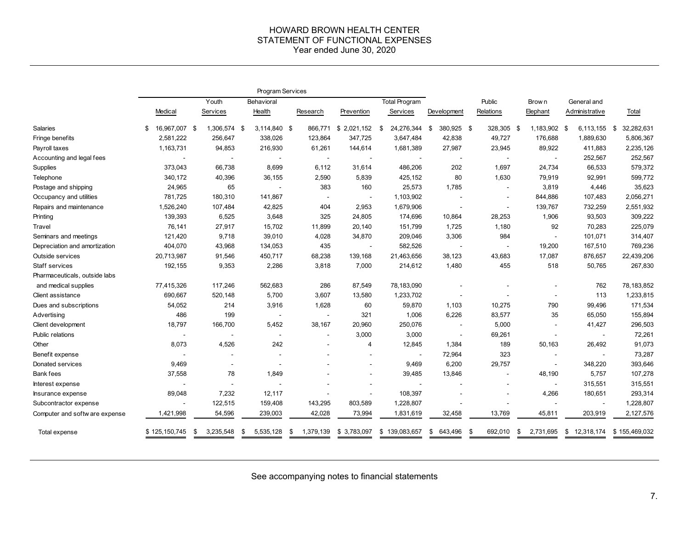#### HOWARD BROWN HEALTH CENTER STATEMENT OF FUNCTIONAL EXPENSES Year ended June 30, 2020

|                                | Program Services    |                 |                          |                          |                          |                  |                          |                          |                          |                          |                   |
|--------------------------------|---------------------|-----------------|--------------------------|--------------------------|--------------------------|------------------|--------------------------|--------------------------|--------------------------|--------------------------|-------------------|
|                                | Youth<br>Behavioral |                 |                          |                          | Total Program            |                  | Public                   |                          | General and<br>Brow n    |                          |                   |
|                                | Medical             | Services        | Health                   | Research                 | Prevention               | Services         | Development              | Relations                | Elephant                 | Administrative           | Total             |
| Salaries                       | 16,967,007 \$<br>\$ | 1,306,574 \$    | 3,114,840 \$             | 866,771                  | \$2,021,152              | 24,276,344<br>\$ | 380,925 \$<br>\$         | 328,305 \$               | 1,183,902 \$             | 6,113,155                | 32,282,631<br>-\$ |
| Fringe benefits                | 2,581,222           | 256,647         | 338,026                  | 123,864                  | 347,725                  | 3,647,484        | 42,838                   | 49,727                   | 176,688                  | 1,889,630                | 5,806,367         |
| Payroll taxes                  | 1,163,731           | 94,853          | 216,930                  | 61,261                   | 144,614                  | 1,681,389        | 27,987                   | 23,945                   | 89,922                   | 411,883                  | 2,235,126         |
| Accounting and legal fees      |                     |                 |                          | $\overline{\phantom{a}}$ |                          |                  | $\overline{\phantom{a}}$ | $\overline{\phantom{a}}$ | $\overline{\phantom{a}}$ | 252,567                  | 252,567           |
| Supplies                       | 373,043             | 66,738          | 8,699                    | 6.112                    | 31,614                   | 486,206          | 202                      | 1,697                    | 24,734                   | 66,533                   | 579,372           |
| Telephone                      | 340,172             | 40,396          | 36,155                   | 2,590                    | 5,839                    | 425,152          | 80                       | 1,630                    | 79,919                   | 92,991                   | 599,772           |
| Postage and shipping           | 24,965              | 65              |                          | 383                      | 160                      | 25,573           | 1,785                    | $\sim$                   | 3,819                    | 4,446                    | 35,623            |
| Occupancy and utilities        | 781,725             | 180,310         | 141,867                  | $\blacksquare$           |                          | 1,103,902        |                          | $\overline{\phantom{a}}$ | 844,886                  | 107,483                  | 2,056,271         |
| Repairs and maintenance        | 1,526,240           | 107,484         | 42,825                   | 404                      | 2,953                    | 1,679,906        | $\overline{\phantom{a}}$ | $\overline{\phantom{a}}$ | 139,767                  | 732,259                  | 2,551,932         |
| Printing                       | 139,393             | 6,525           | 3,648                    | 325                      | 24,805                   | 174,696          | 10,864                   | 28,253                   | 1,906                    | 93,503                   | 309,222           |
| Travel                         | 76,141              | 27,917          | 15,702                   | 11,899                   | 20,140                   | 151,799          | 1,725                    | 1,180                    | 92                       | 70,283                   | 225,079           |
| Seminars and meetings          | 121,420             | 9,718           | 39,010                   | 4,028                    | 34,870                   | 209,046          | 3,306                    | 984                      | $\blacksquare$           | 101,071                  | 314,407           |
| Depreciation and amortization  | 404,070             | 43,968          | 134,053                  | 435                      | $\overline{\phantom{a}}$ | 582,526          | $\overline{\phantom{a}}$ | $\overline{\phantom{a}}$ | 19,200                   | 167,510                  | 769,236           |
| Outside services               | 20,713,987          | 91,546          | 450,717                  | 68,238                   | 139,168                  | 21,463,656       | 38,123                   | 43,683                   | 17,087                   | 876,657                  | 22,439,206        |
| Staff services                 | 192,155             | 9,353           | 2,286                    | 3,818                    | 7,000                    | 214,612          | 1,480                    | 455                      | 518                      | 50,765                   | 267,830           |
| Pharmaceuticals, outside labs  |                     |                 |                          |                          |                          |                  |                          |                          |                          |                          |                   |
| and medical supplies           | 77,415,326          | 117,246         | 562,683                  | 286                      | 87,549                   | 78,183,090       |                          |                          |                          | 762                      | 78, 183, 852      |
| Client assistance              | 690,667             | 520,148         | 5,700                    | 3,607                    | 13,580                   | 1,233,702        |                          |                          | $\blacksquare$           | 113                      | 1,233,815         |
| Dues and subscriptions         | 54,052              | 214             | 3,916                    | 1,628                    | 60                       | 59,870           | 1,103                    | 10,275                   | 790                      | 99,496                   | 171,534           |
| Advertising                    | 486                 | 199             |                          | $\blacksquare$           | 321                      | 1,006            | 6,226                    | 83,577                   | 35                       | 65,050                   | 155,894           |
| Client development             | 18,797              | 166,700         | 5,452                    | 38,167                   | 20,960                   | 250,076          | $\overline{\phantom{a}}$ | 5,000                    | $\overline{\phantom{a}}$ | 41,427                   | 296,503           |
| Public relations               |                     |                 | $\overline{\phantom{a}}$ | $\overline{\phantom{a}}$ | 3,000                    | 3,000            | $\blacksquare$           | 69,261                   | $\blacksquare$           | $\blacksquare$           | 72,261            |
| Other                          | 8,073               | 4,526           | 242                      |                          | $\overline{4}$           | 12,845           | 1,384                    | 189                      | 50,163                   | 26,492                   | 91,073            |
| Benefit expense                |                     |                 |                          |                          |                          |                  | 72,964                   | 323                      | $\blacksquare$           |                          | 73,287            |
| Donated services               | 9,469               |                 |                          |                          |                          | 9,469            | 6,200                    | 29,757                   | $\sim$                   | 348,220                  | 393,646           |
| <b>Bank fees</b>               | 37,558              | 78              | 1,849                    |                          | $\blacksquare$           | 39,485           | 13,846                   | $\blacksquare$           | 48,190                   | 5,757                    | 107,278           |
| Interest expense               |                     | $\sim$          |                          |                          |                          |                  |                          |                          | $\blacksquare$           | 315,551                  | 315,551           |
| Insurance expense              | 89,048              | 7,232           | 12,117                   |                          | $\blacksquare$           | 108,397          |                          | $\overline{\phantom{a}}$ | 4,266                    | 180,651                  | 293,314           |
| Subcontractor expense          |                     | 122,515         | 159,408                  | 143,295                  | 803,589                  | 1,228,807        |                          |                          |                          | $\overline{\phantom{a}}$ | 1,228,807         |
| Computer and softw are expense | 1,421,998           | 54,596          | 239,003                  | 42,028                   | 73,994                   | 1,831,619        | 32,458                   | 13,769                   | 45,811                   | 203,919                  | 2,127,576         |
| Total expense                  | \$125,150,745       | 3,235,548<br>\$ | \$<br>5,535,128          | \$<br>1,379,139          | \$3,783,097              | \$139,083,657    | 643,496<br>\$            | \$<br>692,010            | 2,731,695<br>\$          | \$<br>12,318,174         | \$155,469,032     |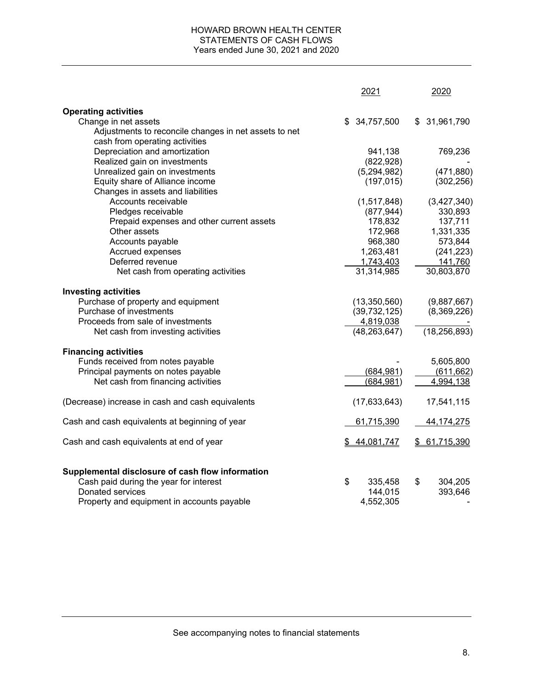## HOWARD BROWN HEALTH CENTER STATEMENTS OF CASH FLOWS Years ended June 30, 2021 and 2020

|                                                                                                                                                              | 2021                                  | 2020                     |
|--------------------------------------------------------------------------------------------------------------------------------------------------------------|---------------------------------------|--------------------------|
| <b>Operating activities</b>                                                                                                                                  |                                       |                          |
| Change in net assets                                                                                                                                         | \$34,757,500                          | \$ 31,961,790            |
| Adjustments to reconcile changes in net assets to net                                                                                                        |                                       |                          |
| cash from operating activities                                                                                                                               |                                       |                          |
| Depreciation and amortization                                                                                                                                | 941,138                               | 769,236                  |
| Realized gain on investments                                                                                                                                 | (822, 928)                            |                          |
| Unrealized gain on investments                                                                                                                               | (5,294,982)                           | (471, 880)               |
| Equity share of Alliance income                                                                                                                              | (197, 015)                            | (302, 256)               |
| Changes in assets and liabilities                                                                                                                            |                                       |                          |
| Accounts receivable                                                                                                                                          | (1,517,848)                           | (3,427,340)              |
| Pledges receivable                                                                                                                                           | (877, 944)                            | 330,893                  |
| Prepaid expenses and other current assets                                                                                                                    | 178,832                               | 137,711                  |
| Other assets                                                                                                                                                 | 172,968                               | 1,331,335                |
| Accounts payable                                                                                                                                             | 968,380                               | 573,844                  |
| Accrued expenses                                                                                                                                             | 1,263,481                             | (241, 223)               |
| Deferred revenue                                                                                                                                             | 1,743,403                             | 141,760                  |
| Net cash from operating activities                                                                                                                           | 31,314,985                            | 30,803,870               |
| <b>Investing activities</b>                                                                                                                                  |                                       |                          |
| Purchase of property and equipment                                                                                                                           | (13, 350, 560)                        | (9,887,667)              |
| Purchase of investments                                                                                                                                      | (39, 732, 125)                        | (8,369,226)              |
| Proceeds from sale of investments                                                                                                                            | 4,819,038                             |                          |
| Net cash from investing activities                                                                                                                           | (48, 263, 647)                        | (18, 256, 893)           |
| <b>Financing activities</b>                                                                                                                                  |                                       |                          |
| Funds received from notes payable                                                                                                                            |                                       | 5,605,800                |
| Principal payments on notes payable                                                                                                                          | (684, 981)                            | (611, 662)               |
| Net cash from financing activities                                                                                                                           | (684, 981)                            | 4,994,138                |
| (Decrease) increase in cash and cash equivalents                                                                                                             | (17, 633, 643)                        | 17,541,115               |
| Cash and cash equivalents at beginning of year                                                                                                               | 61,715,390                            | 44, 174, 275             |
| Cash and cash equivalents at end of year                                                                                                                     | \$44,081,747                          | \$61,715,390             |
| Supplemental disclosure of cash flow information<br>Cash paid during the year for interest<br>Donated services<br>Property and equipment in accounts payable | \$<br>335,458<br>144,015<br>4,552,305 | \$<br>304,205<br>393,646 |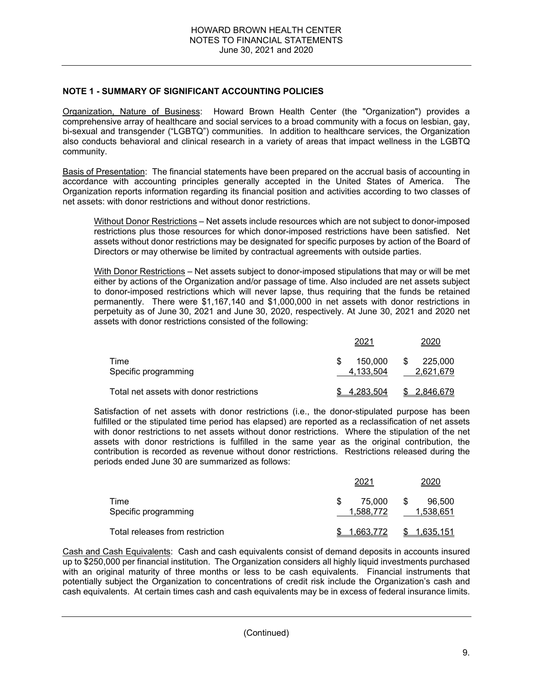## **NOTE 1 - SUMMARY OF SIGNIFICANT ACCOUNTING POLICIES**

Organization, Nature of Business: Howard Brown Health Center (the "Organization") provides a comprehensive array of healthcare and social services to a broad community with a focus on lesbian, gay, bi-sexual and transgender ("LGBTQ") communities. In addition to healthcare services, the Organization also conducts behavioral and clinical research in a variety of areas that impact wellness in the LGBTQ community.

Basis of Presentation: The financial statements have been prepared on the accrual basis of accounting in accordance with accounting principles generally accepted in the United States of America. The Organization reports information regarding its financial position and activities according to two classes of net assets: with donor restrictions and without donor restrictions.

Without Donor Restrictions – Net assets include resources which are not subject to donor-imposed restrictions plus those resources for which donor-imposed restrictions have been satisfied. Net assets without donor restrictions may be designated for specific purposes by action of the Board of Directors or may otherwise be limited by contractual agreements with outside parties.

With Donor Restrictions - Net assets subject to donor-imposed stipulations that may or will be met either by actions of the Organization and/or passage of time. Also included are net assets subject to donor-imposed restrictions which will never lapse, thus requiring that the funds be retained permanently. There were \$1,167,140 and \$1,000,000 in net assets with donor restrictions in perpetuity as of June 30, 2021 and June 30, 2020, respectively. At June 30, 2021 and 2020 net assets with donor restrictions consisted of the following:

|                                          | 2021                 | 2020                      |
|------------------------------------------|----------------------|---------------------------|
| Time<br>Specific programming             | 150.000<br>4,133,504 | 225,000<br>S<br>2,621,679 |
| Total net assets with donor restrictions | <u>4,283</u> .504    | \$ 2.846.679              |

Satisfaction of net assets with donor restrictions (i.e., the donor-stipulated purpose has been fulfilled or the stipulated time period has elapsed) are reported as a reclassification of net assets with donor restrictions to net assets without donor restrictions. Where the stipulation of the net assets with donor restrictions is fulfilled in the same year as the original contribution, the contribution is recorded as revenue without donor restrictions. Restrictions released during the periods ended June 30 are summarized as follows:

|                                 | 202.                | 2020                      |
|---------------------------------|---------------------|---------------------------|
| Time<br>Specific programming    | 75.000<br>1,588,772 | 96.500<br>-S<br>1,538,651 |
| Total releases from restriction | 1.663.772           | 1.635.151                 |

Cash and Cash Equivalents: Cash and cash equivalents consist of demand deposits in accounts insured up to \$250,000 per financial institution. The Organization considers all highly liquid investments purchased with an original maturity of three months or less to be cash equivalents. Financial instruments that potentially subject the Organization to concentrations of credit risk include the Organization's cash and cash equivalents. At certain times cash and cash equivalents may be in excess of federal insurance limits.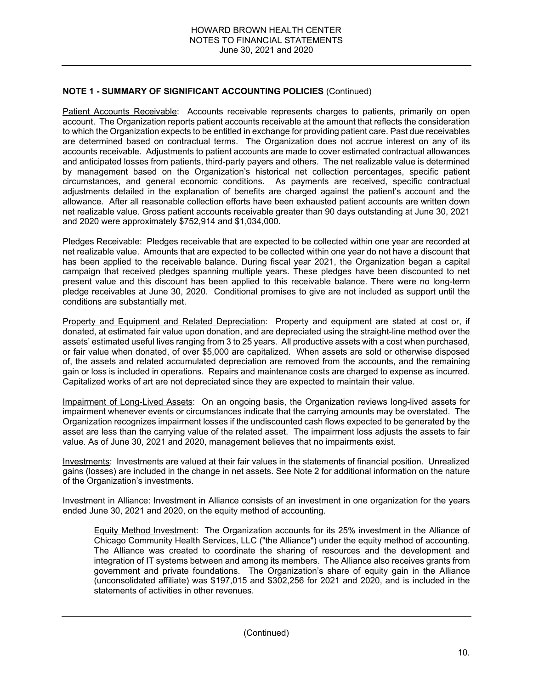Patient Accounts Receivable: Accounts receivable represents charges to patients, primarily on open account. The Organization reports patient accounts receivable at the amount that reflects the consideration to which the Organization expects to be entitled in exchange for providing patient care. Past due receivables are determined based on contractual terms. The Organization does not accrue interest on any of its accounts receivable. Adjustments to patient accounts are made to cover estimated contractual allowances and anticipated losses from patients, third-party payers and others. The net realizable value is determined by management based on the Organization's historical net collection percentages, specific patient circumstances, and general economic conditions. As payments are received, specific contractual adjustments detailed in the explanation of benefits are charged against the patient's account and the allowance. After all reasonable collection efforts have been exhausted patient accounts are written down net realizable value. Gross patient accounts receivable greater than 90 days outstanding at June 30, 2021 and 2020 were approximately \$752,914 and \$1,034,000.

Pledges Receivable: Pledges receivable that are expected to be collected within one year are recorded at net realizable value. Amounts that are expected to be collected within one year do not have a discount that has been applied to the receivable balance. During fiscal year 2021, the Organization began a capital campaign that received pledges spanning multiple years. These pledges have been discounted to net present value and this discount has been applied to this receivable balance. There were no long-term pledge receivables at June 30, 2020. Conditional promises to give are not included as support until the conditions are substantially met.

Property and Equipment and Related Depreciation: Property and equipment are stated at cost or, if donated, at estimated fair value upon donation, and are depreciated using the straight-line method over the assets' estimated useful lives ranging from 3 to 25 years. All productive assets with a cost when purchased, or fair value when donated, of over \$5,000 are capitalized. When assets are sold or otherwise disposed of, the assets and related accumulated depreciation are removed from the accounts, and the remaining gain or loss is included in operations. Repairs and maintenance costs are charged to expense as incurred. Capitalized works of art are not depreciated since they are expected to maintain their value.

Impairment of Long-Lived Assets: On an ongoing basis, the Organization reviews long-lived assets for impairment whenever events or circumstances indicate that the carrying amounts may be overstated. The Organization recognizes impairment losses if the undiscounted cash flows expected to be generated by the asset are less than the carrying value of the related asset. The impairment loss adjusts the assets to fair value. As of June 30, 2021 and 2020, management believes that no impairments exist.

Investments: Investments are valued at their fair values in the statements of financial position. Unrealized gains (losses) are included in the change in net assets. See Note 2 for additional information on the nature of the Organization's investments.

Investment in Alliance: Investment in Alliance consists of an investment in one organization for the years ended June 30, 2021 and 2020, on the equity method of accounting.

Equity Method Investment: The Organization accounts for its 25% investment in the Alliance of Chicago Community Health Services, LLC ("the Alliance") under the equity method of accounting. The Alliance was created to coordinate the sharing of resources and the development and integration of IT systems between and among its members. The Alliance also receives grants from government and private foundations. The Organization's share of equity gain in the Alliance (unconsolidated affiliate) was \$197,015 and \$302,256 for 2021 and 2020, and is included in the statements of activities in other revenues.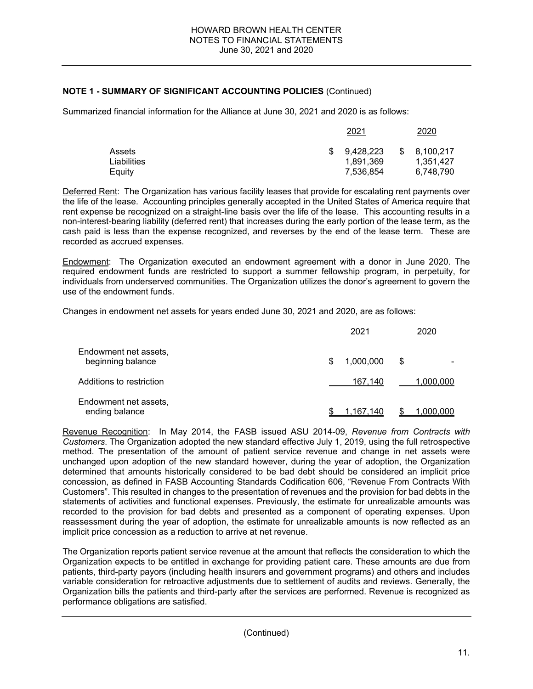Summarized financial information for the Alliance at June 30, 2021 and 2020 is as follows:

|                                 | 2021                                |   | 2020                                |
|---------------------------------|-------------------------------------|---|-------------------------------------|
| Assets<br>Liabilities<br>Eauity | 9.428.223<br>1,891,369<br>7,536,854 | S | 8,100,217<br>1.351.427<br>6,748,790 |

Deferred Rent: The Organization has various facility leases that provide for escalating rent payments over the life of the lease. Accounting principles generally accepted in the United States of America require that rent expense be recognized on a straight-line basis over the life of the lease. This accounting results in a non-interest-bearing liability (deferred rent) that increases during the early portion of the lease term, as the cash paid is less than the expense recognized, and reverses by the end of the lease term. These are recorded as accrued expenses.

Endowment: The Organization executed an endowment agreement with a donor in June 2020. The required endowment funds are restricted to support a summer fellowship program, in perpetuity, for individuals from underserved communities. The Organization utilizes the donor's agreement to govern the use of the endowment funds.

Changes in endowment net assets for years ended June 30, 2021 and 2020, are as follows:

|                                            | 2021           | 2020      |
|--------------------------------------------|----------------|-----------|
| Endowment net assets,<br>beginning balance | 1,000,000<br>S | \$        |
| Additions to restriction                   | 167.140        | 1,000,000 |
| Endowment net assets,<br>ending balance    | 1.167.140      | 1.000.000 |

Revenue Recognition: In May 2014, the FASB issued ASU 2014-09, *Revenue from Contracts with Customers*. The Organization adopted the new standard effective July 1, 2019, using the full retrospective method. The presentation of the amount of patient service revenue and change in net assets were unchanged upon adoption of the new standard however, during the year of adoption, the Organization determined that amounts historically considered to be bad debt should be considered an implicit price concession, as defined in FASB Accounting Standards Codification 606, "Revenue From Contracts With Customers". This resulted in changes to the presentation of revenues and the provision for bad debts in the statements of activities and functional expenses. Previously, the estimate for unrealizable amounts was recorded to the provision for bad debts and presented as a component of operating expenses. Upon reassessment during the year of adoption, the estimate for unrealizable amounts is now reflected as an implicit price concession as a reduction to arrive at net revenue.

The Organization reports patient service revenue at the amount that reflects the consideration to which the Organization expects to be entitled in exchange for providing patient care. These amounts are due from patients, third-party payors (including health insurers and government programs) and others and includes variable consideration for retroactive adjustments due to settlement of audits and reviews. Generally, the Organization bills the patients and third-party after the services are performed. Revenue is recognized as performance obligations are satisfied.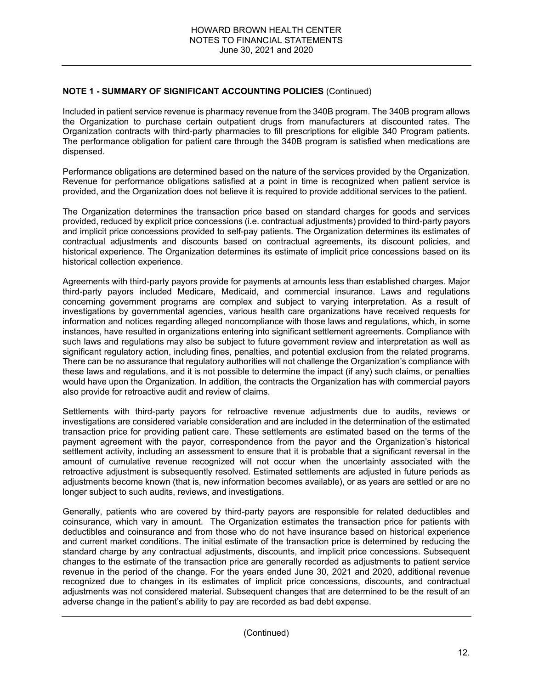Included in patient service revenue is pharmacy revenue from the 340B program. The 340B program allows the Organization to purchase certain outpatient drugs from manufacturers at discounted rates. The Organization contracts with third-party pharmacies to fill prescriptions for eligible 340 Program patients. The performance obligation for patient care through the 340B program is satisfied when medications are dispensed.

Performance obligations are determined based on the nature of the services provided by the Organization. Revenue for performance obligations satisfied at a point in time is recognized when patient service is provided, and the Organization does not believe it is required to provide additional services to the patient.

The Organization determines the transaction price based on standard charges for goods and services provided, reduced by explicit price concessions (i.e. contractual adjustments) provided to third-party payors and implicit price concessions provided to self-pay patients. The Organization determines its estimates of contractual adjustments and discounts based on contractual agreements, its discount policies, and historical experience. The Organization determines its estimate of implicit price concessions based on its historical collection experience.

Agreements with third-party payors provide for payments at amounts less than established charges. Major third-party payors included Medicare, Medicaid, and commercial insurance. Laws and regulations concerning government programs are complex and subject to varying interpretation. As a result of investigations by governmental agencies, various health care organizations have received requests for information and notices regarding alleged noncompliance with those laws and regulations, which, in some instances, have resulted in organizations entering into significant settlement agreements. Compliance with such laws and regulations may also be subject to future government review and interpretation as well as significant regulatory action, including fines, penalties, and potential exclusion from the related programs. There can be no assurance that regulatory authorities will not challenge the Organization's compliance with these laws and regulations, and it is not possible to determine the impact (if any) such claims, or penalties would have upon the Organization. In addition, the contracts the Organization has with commercial payors also provide for retroactive audit and review of claims.

Settlements with third-party payors for retroactive revenue adjustments due to audits, reviews or investigations are considered variable consideration and are included in the determination of the estimated transaction price for providing patient care. These settlements are estimated based on the terms of the payment agreement with the payor, correspondence from the payor and the Organization's historical settlement activity, including an assessment to ensure that it is probable that a significant reversal in the amount of cumulative revenue recognized will not occur when the uncertainty associated with the retroactive adjustment is subsequently resolved. Estimated settlements are adjusted in future periods as adjustments become known (that is, new information becomes available), or as years are settled or are no longer subject to such audits, reviews, and investigations.

Generally, patients who are covered by third-party payors are responsible for related deductibles and coinsurance, which vary in amount. The Organization estimates the transaction price for patients with deductibles and coinsurance and from those who do not have insurance based on historical experience and current market conditions. The initial estimate of the transaction price is determined by reducing the standard charge by any contractual adjustments, discounts, and implicit price concessions. Subsequent changes to the estimate of the transaction price are generally recorded as adjustments to patient service revenue in the period of the change. For the years ended June 30, 2021 and 2020, additional revenue recognized due to changes in its estimates of implicit price concessions, discounts, and contractual adjustments was not considered material. Subsequent changes that are determined to be the result of an adverse change in the patient's ability to pay are recorded as bad debt expense.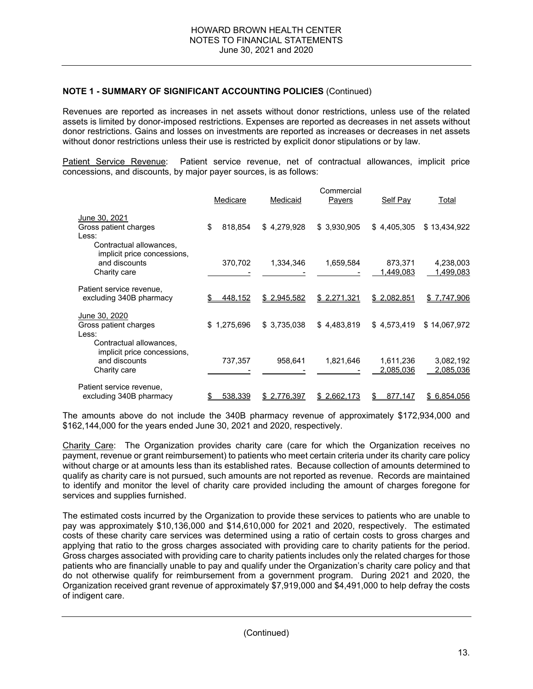Revenues are reported as increases in net assets without donor restrictions, unless use of the related assets is limited by donor-imposed restrictions. Expenses are reported as decreases in net assets without donor restrictions. Gains and losses on investments are reported as increases or decreases in net assets without donor restrictions unless their use is restricted by explicit donor stipulations or by law.

Patient Service Revenue: Patient service revenue, net of contractual allowances, implicit price concessions, and discounts, by major payer sources, is as follows:

|                                                                 | Medicare |             | Medicaid    |             | Self Pay      | Total        |
|-----------------------------------------------------------------|----------|-------------|-------------|-------------|---------------|--------------|
| June 30, 2021                                                   |          |             |             |             |               |              |
| Gross patient charges                                           | \$       | 818.854     | \$4,279,928 | \$3,930,905 | \$4,405,305   | \$13,434,922 |
| Less:<br>Contractual allowances,<br>implicit price concessions, |          |             |             |             |               |              |
| and discounts                                                   |          | 370,702     | 1,334,346   | 1,659,584   | 873,371       | 4,238,003    |
| Charity care                                                    |          |             |             |             | 1,449,083     | 1,499,083    |
| Patient service revenue,                                        |          |             |             |             |               |              |
| excluding 340B pharmacy                                         |          | 448,152     | \$2,945,582 | \$2,271,321 | \$2,082,851   | \$7,747,906  |
| June 30, 2020                                                   |          |             |             |             |               |              |
| Gross patient charges                                           |          | \$1,275,696 | \$3,735,038 | \$4,483,819 | \$4,573,419   | \$14,067,972 |
| Less:                                                           |          |             |             |             |               |              |
| Contractual allowances,<br>implicit price concessions,          |          |             |             |             |               |              |
| and discounts                                                   |          | 737,357     | 958,641     | 1,821,646   | 1,611,236     | 3,082,192    |
| Charity care                                                    |          |             |             |             | 2,085,036     | 2,085,036    |
| Patient service revenue,                                        |          |             |             |             |               |              |
| excluding 340B pharmacy                                         | \$       | 538,339     | \$2,776,397 | \$2,662,173 | 877,147<br>\$ | \$6,854,056  |

The amounts above do not include the 340B pharmacy revenue of approximately \$172,934,000 and \$162,144,000 for the years ended June 30, 2021 and 2020, respectively.

Charity Care: The Organization provides charity care (care for which the Organization receives no payment, revenue or grant reimbursement) to patients who meet certain criteria under its charity care policy without charge or at amounts less than its established rates. Because collection of amounts determined to qualify as charity care is not pursued, such amounts are not reported as revenue. Records are maintained to identify and monitor the level of charity care provided including the amount of charges foregone for services and supplies furnished.

The estimated costs incurred by the Organization to provide these services to patients who are unable to pay was approximately \$10,136,000 and \$14,610,000 for 2021 and 2020, respectively. The estimated costs of these charity care services was determined using a ratio of certain costs to gross charges and applying that ratio to the gross charges associated with providing care to charity patients for the period. Gross charges associated with providing care to charity patients includes only the related charges for those patients who are financially unable to pay and qualify under the Organization's charity care policy and that do not otherwise qualify for reimbursement from a government program. During 2021 and 2020, the Organization received grant revenue of approximately \$7,919,000 and \$4,491,000 to help defray the costs of indigent care.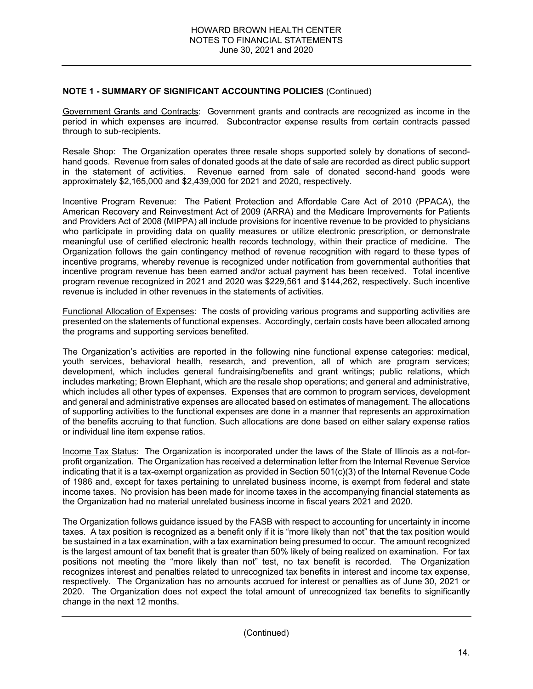Government Grants and Contracts: Government grants and contracts are recognized as income in the period in which expenses are incurred. Subcontractor expense results from certain contracts passed through to sub-recipients.

Resale Shop: The Organization operates three resale shops supported solely by donations of secondhand goods. Revenue from sales of donated goods at the date of sale are recorded as direct public support in the statement of activities. Revenue earned from sale of donated second-hand goods were approximately \$2,165,000 and \$2,439,000 for 2021 and 2020, respectively.

Incentive Program Revenue: The Patient Protection and Affordable Care Act of 2010 (PPACA), the American Recovery and Reinvestment Act of 2009 (ARRA) and the Medicare Improvements for Patients and Providers Act of 2008 (MIPPA) all include provisions for incentive revenue to be provided to physicians who participate in providing data on quality measures or utilize electronic prescription, or demonstrate meaningful use of certified electronic health records technology, within their practice of medicine. The Organization follows the gain contingency method of revenue recognition with regard to these types of incentive programs, whereby revenue is recognized under notification from governmental authorities that incentive program revenue has been earned and/or actual payment has been received. Total incentive program revenue recognized in 2021 and 2020 was \$229,561 and \$144,262, respectively. Such incentive revenue is included in other revenues in the statements of activities.

Functional Allocation of Expenses: The costs of providing various programs and supporting activities are presented on the statements of functional expenses. Accordingly, certain costs have been allocated among the programs and supporting services benefited.

The Organization's activities are reported in the following nine functional expense categories: medical, youth services, behavioral health, research, and prevention, all of which are program services; development, which includes general fundraising/benefits and grant writings; public relations, which includes marketing; Brown Elephant, which are the resale shop operations; and general and administrative, which includes all other types of expenses. Expenses that are common to program services, development and general and administrative expenses are allocated based on estimates of management. The allocations of supporting activities to the functional expenses are done in a manner that represents an approximation of the benefits accruing to that function. Such allocations are done based on either salary expense ratios or individual line item expense ratios.

Income Tax Status: The Organization is incorporated under the laws of the State of Illinois as a not-forprofit organization. The Organization has received a determination letter from the Internal Revenue Service indicating that it is a tax-exempt organization as provided in Section 501(c)(3) of the Internal Revenue Code of 1986 and, except for taxes pertaining to unrelated business income, is exempt from federal and state income taxes. No provision has been made for income taxes in the accompanying financial statements as the Organization had no material unrelated business income in fiscal years 2021 and 2020.

The Organization follows guidance issued by the FASB with respect to accounting for uncertainty in income taxes. A tax position is recognized as a benefit only if it is "more likely than not" that the tax position would be sustained in a tax examination, with a tax examination being presumed to occur. The amount recognized is the largest amount of tax benefit that is greater than 50% likely of being realized on examination. For tax positions not meeting the "more likely than not" test, no tax benefit is recorded. The Organization recognizes interest and penalties related to unrecognized tax benefits in interest and income tax expense, respectively. The Organization has no amounts accrued for interest or penalties as of June 30, 2021 or 2020. The Organization does not expect the total amount of unrecognized tax benefits to significantly change in the next 12 months.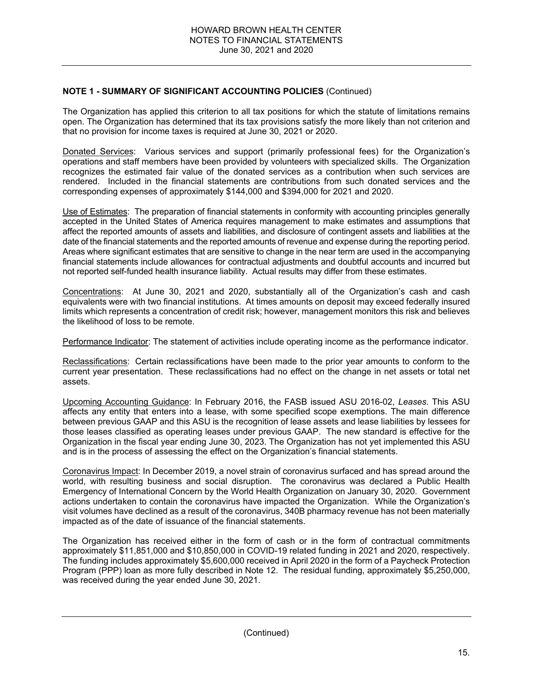The Organization has applied this criterion to all tax positions for which the statute of limitations remains open. The Organization has determined that its tax provisions satisfy the more likely than not criterion and that no provision for income taxes is required at June 30, 2021 or 2020.

Donated Services: Various services and support (primarily professional fees) for the Organization's operations and staff members have been provided by volunteers with specialized skills. The Organization recognizes the estimated fair value of the donated services as a contribution when such services are rendered. Included in the financial statements are contributions from such donated services and the corresponding expenses of approximately \$144,000 and \$394,000 for 2021 and 2020.

Use of Estimates: The preparation of financial statements in conformity with accounting principles generally accepted in the United States of America requires management to make estimates and assumptions that affect the reported amounts of assets and liabilities, and disclosure of contingent assets and liabilities at the date of the financial statements and the reported amounts of revenue and expense during the reporting period. Areas where significant estimates that are sensitive to change in the near term are used in the accompanying financial statements include allowances for contractual adjustments and doubtful accounts and incurred but not reported self-funded health insurance liability. Actual results may differ from these estimates.

Concentrations: At June 30, 2021 and 2020, substantially all of the Organization's cash and cash equivalents were with two financial institutions. At times amounts on deposit may exceed federally insured limits which represents a concentration of credit risk; however, management monitors this risk and believes the likelihood of loss to be remote.

Performance Indicator: The statement of activities include operating income as the performance indicator.

Reclassifications: Certain reclassifications have been made to the prior year amounts to conform to the current year presentation. These reclassifications had no effect on the change in net assets or total net assets.

Upcoming Accounting Guidance: In February 2016, the FASB issued ASU 2016-02, *Leases*. This ASU affects any entity that enters into a lease, with some specified scope exemptions. The main difference between previous GAAP and this ASU is the recognition of lease assets and lease liabilities by lessees for those leases classified as operating leases under previous GAAP. The new standard is effective for the Organization in the fiscal year ending June 30, 2023. The Organization has not yet implemented this ASU and is in the process of assessing the effect on the Organization's financial statements.

Coronavirus Impact: In December 2019, a novel strain of coronavirus surfaced and has spread around the world, with resulting business and social disruption. The coronavirus was declared a Public Health Emergency of International Concern by the World Health Organization on January 30, 2020. Government actions undertaken to contain the coronavirus have impacted the Organization. While the Organization's visit volumes have declined as a result of the coronavirus, 340B pharmacy revenue has not been materially impacted as of the date of issuance of the financial statements.

The Organization has received either in the form of cash or in the form of contractual commitments approximately \$11,851,000 and \$10,850,000 in COVID-19 related funding in 2021 and 2020, respectively. The funding includes approximately \$5,600,000 received in April 2020 in the form of a Paycheck Protection Program (PPP) loan as more fully described in Note 12. The residual funding, approximately \$5,250,000, was received during the year ended June 30, 2021.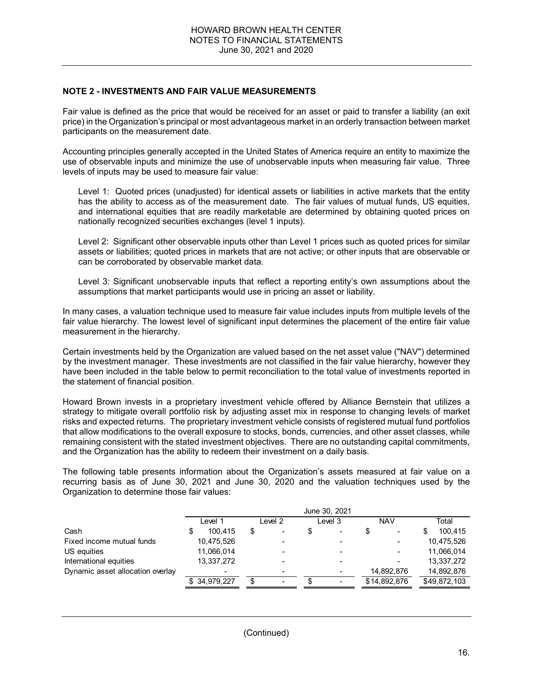### **NOTE 2 - INVESTMENTS AND FAIR VALUE MEASUREMENTS**

Fair value is defined as the price that would be received for an asset or paid to transfer a liability (an exit price) in the Organization's principal or most advantageous market in an orderly transaction between market participants on the measurement date.

Accounting principles generally accepted in the United States of America require an entity to maximize the use of observable inputs and minimize the use of unobservable inputs when measuring fair value. Three levels of inputs may be used to measure fair value:

Level 1: Quoted prices (unadjusted) for identical assets or liabilities in active markets that the entity has the ability to access as of the measurement date. The fair values of mutual funds, US equities, and international equities that are readily marketable are determined by obtaining quoted prices on nationally recognized securities exchanges (level 1 inputs).

Level 2: Significant other observable inputs other than Level 1 prices such as quoted prices for similar assets or liabilities; quoted prices in markets that are not active; or other inputs that are observable or can be corroborated by observable market data.

Level 3: Significant unobservable inputs that reflect a reporting entity's own assumptions about the assumptions that market participants would use in pricing an asset or liability.

In many cases, a valuation technique used to measure fair value includes inputs from multiple levels of the fair value hierarchy. The lowest level of significant input determines the placement of the entire fair value measurement in the hierarchy.

Certain investments held by the Organization are valued based on the net asset value ("NAV") determined by the investment manager. These investments are not classified in the fair value hierarchy, however they have been included in the table below to permit reconciliation to the total value of investments reported in the statement of financial position.

Howard Brown invests in a proprietary investment vehicle offered by Alliance Bernstein that utilizes a strategy to mitigate overall portfolio risk by adjusting asset mix in response to changing levels of market risks and expected returns. The proprietary investment vehicle consists of registered mutual fund portfolios that allow modifications to the overall exposure to stocks, bonds, currencies, and other asset classes, while remaining consistent with the stated investment objectives. There are no outstanding capital commitments, and the Organization has the ability to redeem their investment on a daily basis.

The following table presents information about the Organization's assets measured at fair value on a recurring basis as of June 30, 2021 and June 30, 2020 and the valuation techniques used by the Organization to determine those fair values:

|                                  |                          |    |                              | June 30, 2021            |                          |   |              |
|----------------------------------|--------------------------|----|------------------------------|--------------------------|--------------------------|---|--------------|
|                                  | Level 1                  |    | _evel 2                      | Level 3                  | <b>NAV</b>               |   | Total        |
| Cash                             | 100.415                  | S  | $\overline{\phantom{0}}$     | $\overline{\phantom{a}}$ | $\overline{\phantom{0}}$ | S | 100.415      |
| Fixed income mutual funds        | 10,475,526               |    | $\qquad \qquad \blacksquare$ |                          | $\blacksquare$           |   | 10,475,526   |
| US equities                      | 11,066,014               |    | $\qquad \qquad \blacksquare$ |                          | $\blacksquare$           |   | 11,066,014   |
| International equities           | 13,337,272               |    | $\overline{\phantom{0}}$     |                          | $\overline{\phantom{0}}$ |   | 13,337,272   |
| Dynamic asset allocation overlay | $\overline{\phantom{0}}$ |    | $\overline{\phantom{0}}$     |                          | 14,892,876               |   | 14,892,876   |
|                                  | \$34.979.227             | \$ | $\overline{\phantom{0}}$     |                          | \$14,892,876             |   | \$49,872,103 |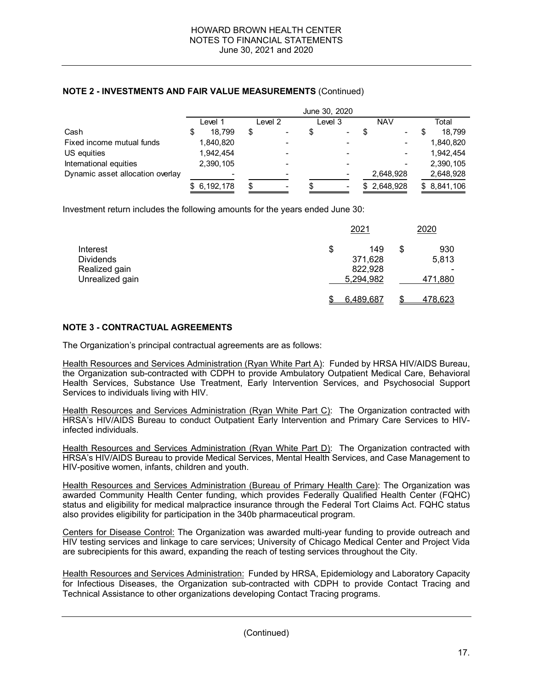US equities 1,942,454 1,942,454 International equities 2,390,105 - - - 2,390,105 Dynamic asset allocation overlay  $\overline{a}$  -  $\overline{a}$  -  $\overline{a}$  -  $\overline{a}$  2,648,928 2,648,928

 $$ 6,192,178$  \$ - \$ - \$ 2,648,928 \$ 8,841,106

|                           |                    |                          | June 30, 2020 |                |            |                          |      |           |
|---------------------------|--------------------|--------------------------|---------------|----------------|------------|--------------------------|------|-----------|
|                           | Level <sup>1</sup> | Level <sub>2</sub>       |               | Level 3        | <b>NAV</b> |                          |      | Total     |
| Cash                      | 18.799             | $\blacksquare$           |               | $\sim$         |            | $\sim$                   | - \$ | 18,799    |
| Fixed income mutual funds | 1,840,820          | $\overline{\phantom{0}}$ |               | $\blacksquare$ |            | $\overline{\phantom{a}}$ |      | 1,840,820 |

### **NOTE 2 - INVESTMENTS AND FAIR VALUE MEASUREMENTS** (Continued)

Investment return includes the following amounts for the years ended June 30:

|                  | 2021      | 2020           |
|------------------|-----------|----------------|
| Interest         | \$<br>149 | \$<br>930      |
| <b>Dividends</b> | 371,628   | 5,813          |
| Realized gain    | 822,928   |                |
| Unrealized gain  | 5,294,982 | 471,880        |
|                  | 6,489,687 | <u>478,623</u> |

# **NOTE 3 - CONTRACTUAL AGREEMENTS**

The Organization's principal contractual agreements are as follows:

Health Resources and Services Administration (Ryan White Part A): Funded by HRSA HIV/AIDS Bureau, the Organization sub-contracted with CDPH to provide Ambulatory Outpatient Medical Care, Behavioral Health Services, Substance Use Treatment, Early Intervention Services, and Psychosocial Support Services to individuals living with HIV.

Health Resources and Services Administration (Ryan White Part C): The Organization contracted with HRSA's HIV/AIDS Bureau to conduct Outpatient Early Intervention and Primary Care Services to HIVinfected individuals.

Health Resources and Services Administration (Ryan White Part D): The Organization contracted with HRSA's HIV/AIDS Bureau to provide Medical Services, Mental Health Services, and Case Management to HIV-positive women, infants, children and youth.

Health Resources and Services Administration (Bureau of Primary Health Care): The Organization was awarded Community Health Center funding, which provides Federally Qualified Health Center (FQHC) status and eligibility for medical malpractice insurance through the Federal Tort Claims Act. FQHC status also provides eligibility for participation in the 340b pharmaceutical program.

Centers for Disease Control: The Organization was awarded multi-year funding to provide outreach and HIV testing services and linkage to care services; University of Chicago Medical Center and Project Vida are subrecipients for this award, expanding the reach of testing services throughout the City.

Health Resources and Services Administration:Funded by HRSA, Epidemiology and Laboratory Capacity for Infectious Diseases, the Organization sub-contracted with CDPH to provide Contact Tracing and Technical Assistance to other organizations developing Contact Tracing programs.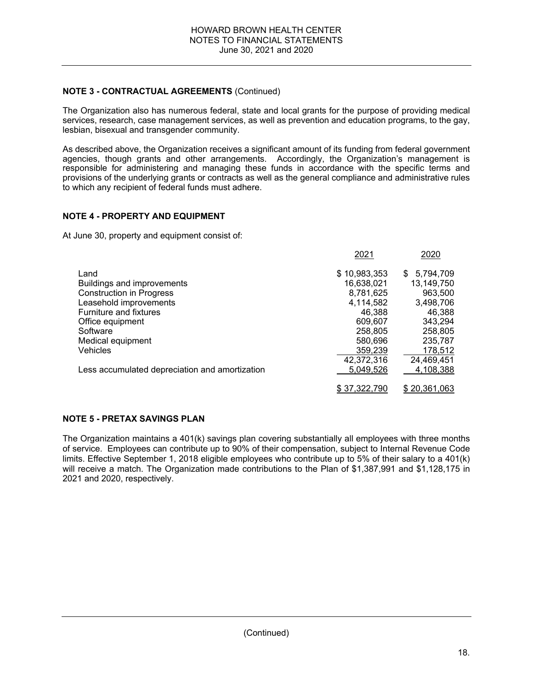## **NOTE 3 - CONTRACTUAL AGREEMENTS** (Continued)

The Organization also has numerous federal, state and local grants for the purpose of providing medical services, research, case management services, as well as prevention and education programs, to the gay, lesbian, bisexual and transgender community.

As described above, the Organization receives a significant amount of its funding from federal government agencies, though grants and other arrangements. Accordingly, the Organization's management is responsible for administering and managing these funds in accordance with the specific terms and provisions of the underlying grants or contracts as well as the general compliance and administrative rules to which any recipient of federal funds must adhere.

## **NOTE 4 - PROPERTY AND EQUIPMENT**

At June 30, property and equipment consist of:

|                                                | 2021         | 2020         |
|------------------------------------------------|--------------|--------------|
| Land                                           | \$10,983,353 | \$5,794,709  |
| Buildings and improvements                     | 16,638,021   | 13,149,750   |
| <b>Construction in Progress</b>                | 8,781,625    | 963,500      |
| Leasehold improvements                         | 4.114.582    | 3,498,706    |
| <b>Furniture and fixtures</b>                  | 46,388       | 46,388       |
| Office equipment                               | 609,607      | 343.294      |
| Software                                       | 258,805      | 258,805      |
| Medical equipment                              | 580,696      | 235,787      |
| Vehicles                                       | 359,239      | 178,512      |
|                                                | 42,372,316   | 24,469,451   |
| Less accumulated depreciation and amortization | 5,049,526    | 4,108,388    |
|                                                | \$37,322,790 | \$20,361,063 |

## **NOTE 5 - PRETAX SAVINGS PLAN**

The Organization maintains a 401(k) savings plan covering substantially all employees with three months of service. Employees can contribute up to 90% of their compensation, subject to Internal Revenue Code limits. Effective September 1, 2018 eligible employees who contribute up to 5% of their salary to a 401(k) will receive a match. The Organization made contributions to the Plan of \$1,387,991 and \$1,128,175 in 2021 and 2020, respectively.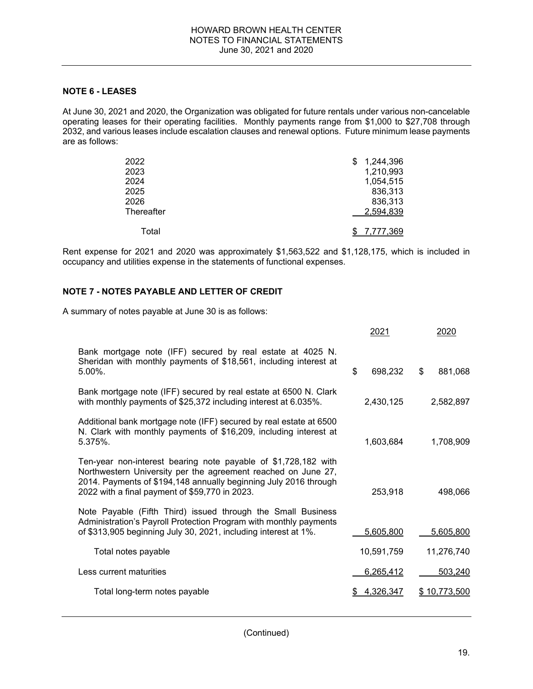## **NOTE 6 - LEASES**

At June 30, 2021 and 2020, the Organization was obligated for future rentals under various non-cancelable operating leases for their operating facilities. Monthly payments range from \$1,000 to \$27,708 through 2032, and various leases include escalation clauses and renewal options. Future minimum lease payments are as follows:

| 2022       | 1,244,396<br>\$. |
|------------|------------------|
| 2023       | 1,210,993        |
| 2024       | 1,054,515        |
| 2025       | 836,313          |
| 2026       | 836,313          |
| Thereafter | 2,594,839        |
| Total      | <u>7,777,369</u> |

Rent expense for 2021 and 2020 was approximately \$1,563,522 and \$1,128,175, which is included in occupancy and utilities expense in the statements of functional expenses.

## **NOTE 7 - NOTES PAYABLE AND LETTER OF CREDIT**

A summary of notes payable at June 30 is as follows:

|                                                                                                                                                                                                                                                       | 2021          | 2020            |
|-------------------------------------------------------------------------------------------------------------------------------------------------------------------------------------------------------------------------------------------------------|---------------|-----------------|
| Bank mortgage note (IFF) secured by real estate at 4025 N.<br>Sheridan with monthly payments of \$18,561, including interest at<br>$5.00\%$ .                                                                                                         | \$<br>698,232 | \$<br>881,068   |
| Bank mortgage note (IFF) secured by real estate at 6500 N. Clark<br>with monthly payments of \$25,372 including interest at 6.035%.                                                                                                                   | 2,430,125     | 2,582,897       |
| Additional bank mortgage note (IFF) secured by real estate at 6500<br>N. Clark with monthly payments of \$16,209, including interest at<br>5.375%.                                                                                                    | 1,603,684     | 1,708,909       |
| Ten-year non-interest bearing note payable of \$1,728,182 with<br>Northwestern University per the agreement reached on June 27,<br>2014. Payments of \$194,148 annually beginning July 2016 through<br>2022 with a final payment of \$59,770 in 2023. | 253,918       | 498,066         |
| Note Payable (Fifth Third) issued through the Small Business<br>Administration's Payroll Protection Program with monthly payments<br>of \$313,905 beginning July 30, 2021, including interest at 1%.                                                  | 5,605,800     | 5,605,800       |
| Total notes payable                                                                                                                                                                                                                                   | 10,591,759    | 11,276,740      |
| Less current maturities                                                                                                                                                                                                                               | 6,265,412     | 503,240         |
| Total long-term notes payable                                                                                                                                                                                                                         | 4,326,347     | 10,773,500<br>S |
|                                                                                                                                                                                                                                                       |               |                 |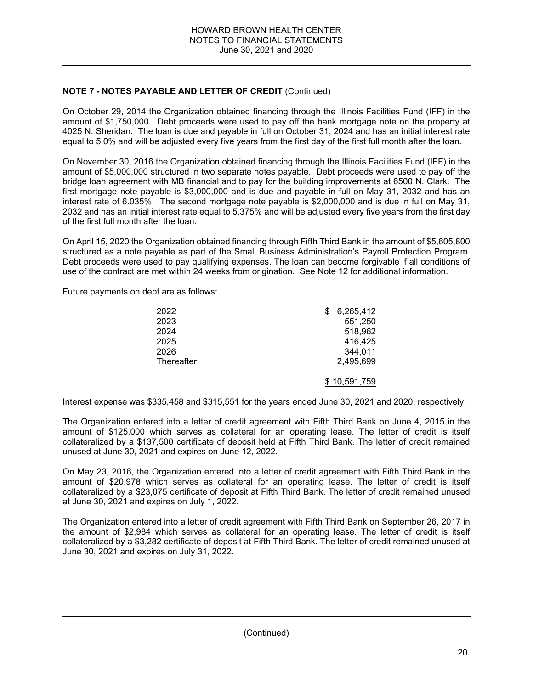## **NOTE 7 - NOTES PAYABLE AND LETTER OF CREDIT** (Continued)

On October 29, 2014 the Organization obtained financing through the Illinois Facilities Fund (IFF) in the amount of \$1,750,000. Debt proceeds were used to pay off the bank mortgage note on the property at 4025 N. Sheridan. The loan is due and payable in full on October 31, 2024 and has an initial interest rate equal to 5.0% and will be adjusted every five years from the first day of the first full month after the loan.

On November 30, 2016 the Organization obtained financing through the Illinois Facilities Fund (IFF) in the amount of \$5,000,000 structured in two separate notes payable. Debt proceeds were used to pay off the bridge loan agreement with MB financial and to pay for the building improvements at 6500 N. Clark. The first mortgage note payable is \$3,000,000 and is due and payable in full on May 31, 2032 and has an interest rate of 6.035%. The second mortgage note payable is \$2,000,000 and is due in full on May 31, 2032 and has an initial interest rate equal to 5.375% and will be adjusted every five years from the first day of the first full month after the loan.

On April 15, 2020 the Organization obtained financing through Fifth Third Bank in the amount of \$5,605,800 structured as a note payable as part of the Small Business Administration's Payroll Protection Program. Debt proceeds were used to pay qualifying expenses. The loan can become forgivable if all conditions of use of the contract are met within 24 weeks from origination. See Note 12 for additional information.

Future payments on debt are as follows:

| 2022       | S | 6,265,412    |
|------------|---|--------------|
| 2023       |   | 551,250      |
| 2024       |   | 518,962      |
| 2025       |   | 416,425      |
| 2026       |   | 344,011      |
| Thereafter |   | 2,495,699    |
|            |   | \$10,591,759 |

Interest expense was \$335,458 and \$315,551 for the years ended June 30, 2021 and 2020, respectively.

The Organization entered into a letter of credit agreement with Fifth Third Bank on June 4, 2015 in the amount of \$125,000 which serves as collateral for an operating lease. The letter of credit is itself collateralized by a \$137,500 certificate of deposit held at Fifth Third Bank. The letter of credit remained unused at June 30, 2021 and expires on June 12, 2022.

On May 23, 2016, the Organization entered into a letter of credit agreement with Fifth Third Bank in the amount of \$20,978 which serves as collateral for an operating lease. The letter of credit is itself collateralized by a \$23,075 certificate of deposit at Fifth Third Bank. The letter of credit remained unused at June 30, 2021 and expires on July 1, 2022.

The Organization entered into a letter of credit agreement with Fifth Third Bank on September 26, 2017 in the amount of \$2,984 which serves as collateral for an operating lease. The letter of credit is itself collateralized by a \$3,282 certificate of deposit at Fifth Third Bank. The letter of credit remained unused at June 30, 2021 and expires on July 31, 2022.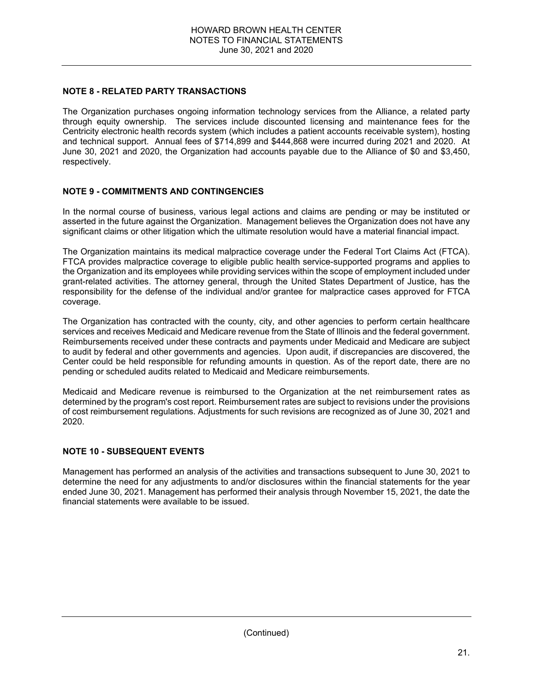## **NOTE 8 - RELATED PARTY TRANSACTIONS**

The Organization purchases ongoing information technology services from the Alliance, a related party through equity ownership. The services include discounted licensing and maintenance fees for the Centricity electronic health records system (which includes a patient accounts receivable system), hosting and technical support. Annual fees of \$714,899 and \$444,868 were incurred during 2021 and 2020. At June 30, 2021 and 2020, the Organization had accounts payable due to the Alliance of \$0 and \$3,450, respectively.

## **NOTE 9 - COMMITMENTS AND CONTINGENCIES**

In the normal course of business, various legal actions and claims are pending or may be instituted or asserted in the future against the Organization. Management believes the Organization does not have any significant claims or other litigation which the ultimate resolution would have a material financial impact.

The Organization maintains its medical malpractice coverage under the Federal Tort Claims Act (FTCA). FTCA provides malpractice coverage to eligible public health service-supported programs and applies to the Organization and its employees while providing services within the scope of employment included under grant-related activities. The attorney general, through the United States Department of Justice, has the responsibility for the defense of the individual and/or grantee for malpractice cases approved for FTCA coverage.

The Organization has contracted with the county, city, and other agencies to perform certain healthcare services and receives Medicaid and Medicare revenue from the State of Illinois and the federal government. Reimbursements received under these contracts and payments under Medicaid and Medicare are subject to audit by federal and other governments and agencies. Upon audit, if discrepancies are discovered, the Center could be held responsible for refunding amounts in question. As of the report date, there are no pending or scheduled audits related to Medicaid and Medicare reimbursements.

Medicaid and Medicare revenue is reimbursed to the Organization at the net reimbursement rates as determined by the program's cost report. Reimbursement rates are subject to revisions under the provisions of cost reimbursement regulations. Adjustments for such revisions are recognized as of June 30, 2021 and 2020.

## **NOTE 10 - SUBSEQUENT EVENTS**

Management has performed an analysis of the activities and transactions subsequent to June 30, 2021 to determine the need for any adjustments to and/or disclosures within the financial statements for the year ended June 30, 2021. Management has performed their analysis through November 15, 2021, the date the financial statements were available to be issued.